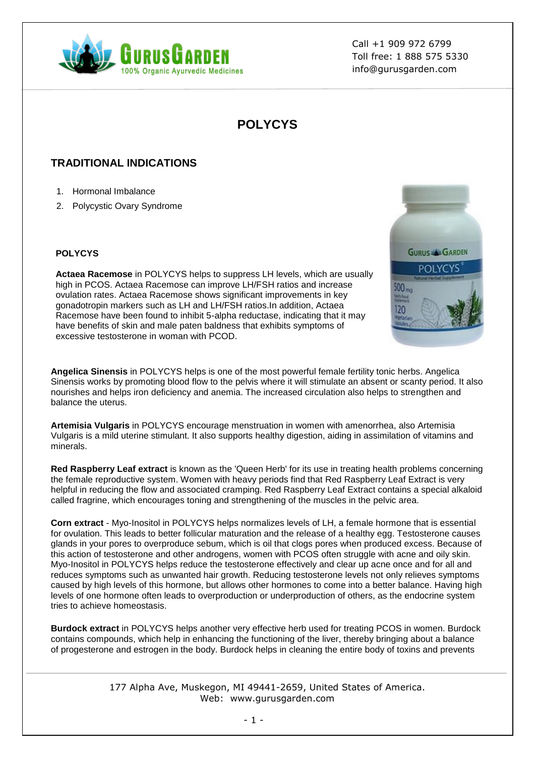

Call +1 909 972 6799 Toll free: 1 888 575 5330 info@gurusgarden.com

# **POLYCYS**

## **TRADITIONAL INDICATIONS**

- 1. Hormonal Imbalance
- 2. Polycystic Ovary Syndrome

#### **POLYCYS**

**Actaea Racemose** in POLYCYS helps to suppress LH levels, which are usually high in PCOS. Actaea Racemose can improve LH/FSH ratios and increase ovulation rates. Actaea Racemose shows significant improvements in key gonadotropin markers such as LH and LH/FSH ratios.In addition, Actaea Racemose have been found to inhibit 5-alpha reductase, indicating that it may have benefits of skin and male paten baldness that exhibits symptoms of excessive testosterone in woman with PCOD.



**Angelica Sinensis** in POLYCYS helps is one of the most powerful female fertility tonic herbs. Angelica Sinensis works by promoting blood flow to the pelvis where it will stimulate an absent or scanty period. It also nourishes and helps iron deficiency and anemia. The increased circulation also helps to strengthen and balance the uterus.

**Artemisia Vulgaris** in POLYCYS encourage menstruation in women with amenorrhea, also Artemisia Vulgaris is a mild uterine stimulant. It also supports healthy digestion, aiding in assimilation of vitamins and minerals.

**Red Raspberry Leaf extract** is known as the 'Queen Herb' for its use in treating health problems concerning the female reproductive system. Women with heavy periods find that Red Raspberry Leaf Extract is very helpful in reducing the flow and associated cramping. Red Raspberry Leaf Extract contains a special alkaloid called fragrine, which encourages toning and strengthening of the muscles in the pelvic area.

**Corn extract** - Myo-Inositol in POLYCYS helps normalizes levels of LH, a female hormone that is essential for ovulation. This leads to better follicular maturation and the release of a healthy egg. Testosterone causes glands in your pores to overproduce sebum, which is oil that clogs pores when produced excess. Because of this action of testosterone and other androgens, women with PCOS often struggle with acne and oily skin. Myo-Inositol in POLYCYS helps reduce the testosterone effectively and clear up acne once and for all and reduces symptoms such as unwanted hair growth. Reducing testosterone levels not only relieves symptoms caused by high levels of this hormone, but allows other hormones to come into a better balance. Having high levels of one hormone often leads to overproduction or underproduction of others, as the endocrine system tries to achieve homeostasis.

**Burdock extract** in POLYCYS helps another very effective herb used for treating PCOS in women. Burdock contains compounds, which help in enhancing the functioning of the liver, thereby bringing about a balance of progesterone and estrogen in the body. Burdock helps in cleaning the entire body of toxins and prevents

> 177 Alpha Ave, Muskegon, MI 49441-2659, United States of America. Web: www.gurusgarden.com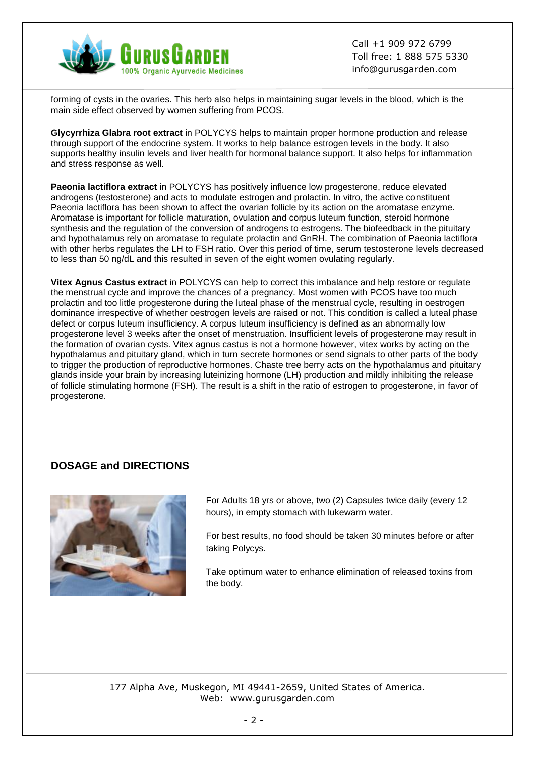

Call +1 909 972 6799 Toll free: 1 888 575 5330 info@gurusgarden.com

forming of cysts in the ovaries. This herb also helps in maintaining sugar levels in the blood, which is the main side effect observed by women suffering from PCOS.

**Glycyrrhiza Glabra root extract** in POLYCYS helps to maintain proper hormone production and release through support of the endocrine system. It works to help balance estrogen levels in the body. It also supports healthy insulin levels and liver health for hormonal balance support. It also helps for inflammation and stress response as well.

**Paeonia lactiflora extract** in POLYCYS has positively influence low progesterone, reduce elevated androgens (testosterone) and acts to modulate estrogen and prolactin. In vitro, the active constituent Paeonia lactiflora has been shown to affect the ovarian follicle by its action on the aromatase enzyme. Aromatase is important for follicle maturation, ovulation and corpus luteum function, steroid hormone synthesis and the regulation of the conversion of androgens to estrogens. The biofeedback in the pituitary and hypothalamus rely on aromatase to regulate prolactin and GnRH. The combination of Paeonia lactiflora with other herbs regulates the LH to FSH ratio. Over this period of time, serum testosterone levels decreased to less than 50 ng/dL and this resulted in seven of the eight women ovulating regularly.

**Vitex Agnus Castus extract** in POLYCYS can help to correct this imbalance and help restore or regulate the menstrual cycle and improve the chances of a pregnancy. Most women with PCOS have too much prolactin and too little progesterone during the luteal phase of the menstrual cycle, resulting in oestrogen dominance irrespective of whether oestrogen levels are raised or not. This condition is called a luteal phase defect or corpus luteum insufficiency. A corpus luteum insufficiency is defined as an abnormally low progesterone level 3 weeks after the onset of menstruation. Insufficient levels of progesterone may result in the formation of ovarian cysts. Vitex agnus castus is not a hormone however, vitex works by acting on the hypothalamus and pituitary gland, which in turn secrete hormones or send signals to other parts of the body to trigger the production of reproductive hormones. Chaste tree berry acts on the hypothalamus and pituitary glands inside your brain by increasing luteinizing hormone (LH) production and mildly inhibiting the release of follicle stimulating hormone (FSH). The result is a shift in the ratio of estrogen to progesterone, in favor of progesterone.

### **DOSAGE and DIRECTIONS**



For Adults 18 yrs or above, two (2) Capsules twice daily (every 12 hours), in empty stomach with lukewarm water.

For best results, no food should be taken 30 minutes before or after taking Polycys.

Take optimum water to enhance elimination of released toxins from the body.

177 Alpha Ave, Muskegon, MI 49441-2659, United States of America. Web: www.gurusgarden.com